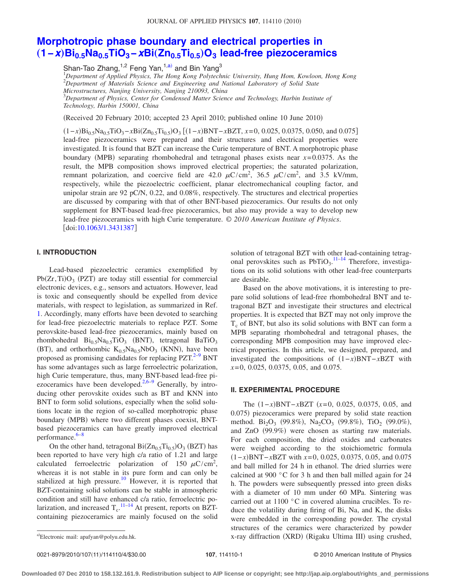#### JOURNAL OF APPLIED PHYSICS 107, 114110 (2010)

# **[Morphotropic phase boundary and electrical properties in](http://dx.doi.org/10.1063/1.3431387)** "**1−***x*…**Bi0.5Na0.5TiO3−***x***Bi**"**Zn0.5Ti0.5**…**O3 [lead-free piezoceramics](http://dx.doi.org/10.1063/1.3431387)**

Shan-Tao Zhang,  $1,2$  Feng Yan,  $1, a$  and Bin Yang<sup>3</sup>

 *Department of Applied Physics, The Hong Kong Polytechnic University, Hung Hom, Kowloon, Hong Kong Department of Materials Science and Engineering and National Laboratory of Solid State Microstructures, Nanjing University, Nanjing 210093, China Department of Physics, Center for Condensed Matter Science and Technology, Harbin Institute of*

*Technology, Harbin 150001, China*

(Received 20 February 2010; accepted 23 April 2010; published online 10 June 2010)

 $(1-x)Bi_{0.5}Na_{0.5}TiO_3-xBi(Zn_{0.5}Ti_{0.5})O_3$  [ $(1-x)BNT-xBZT$ ,  $x=0$ , 0.025, 0.0375, 0.050, and 0.075] lead-free piezoceramics were prepared and their structures and electrical properties were investigated. It is found that BZT can increase the Curie temperature of BNT. A morphotropic phase boundary (MPB) separating rhombohedral and tetragonal phases exists near  $x=0.0375$ . As the result, the MPB composition shows improved electrical properties; the saturated polarization, remnant polarization, and coercive field are 42.0  $\mu$ C/cm<sup>2</sup>, 36.5  $\mu$ C/cm<sup>2</sup>, and 3.5 kV/mm, respectively, while the piezoelectric coefficient, planar electromechanical coupling factor, and unipolar strain are 92 pC/N, 0.22, and 0.08%, respectively. The structures and electrical properties are discussed by comparing with that of other BNT-based piezoceramics. Our results do not only supplement for BNT-based lead-free piezoceramics, but also may provide a way to develop new lead-free piezoceramics with high Curie temperature. © *2010 American Institute of Physics*. doi[:10.1063/1.3431387](http://dx.doi.org/10.1063/1.3431387)

## **I. INTRODUCTION**

Lead-based piezoelectric ceramics exemplified by  $Pb(Zr, Ti)O<sub>3</sub>$  (PZT) are today still essential for commercial electronic devices, e.g., sensors and actuators. However, lead is toxic and consequently should be expelled from device materials, with respect to legislation, as summarized in Ref. [1.](#page-3-0) Accordingly, many efforts have been devoted to searching for lead-free piezoelectric materials to replace PZT. Some perovskite-based lead-free piezoceramics, mainly based on rhombohedral  $Bi_{0.5}Na_{0.5}TiO_3$  (BNT), tetragonal BaTiO<sub>3</sub> (BT), and orthorhombic  $K_{0.5}Na_{0.5}NbO<sub>3</sub>$  (KNN), have been proposed as promising candidates for replacing  $PZT$ <sup>2[–9](#page-3-2)</sup> BNT has some advantages such as large ferroelectric polarization, high Curie temperature, thus, many BNT-based lead-free pi-ezoceramics have been developed.<sup>2,[6](#page-3-3)[–9](#page-3-2)</sup> Generally, by introducing other perovskite oxides such as BT and KNN into BNT to form solid solutions, especially when the solid solutions locate in the region of so-called morphotropic phase boundary (MPB) where two different phases coexist, BNTbased piezoceramics can have greatly improved electrical performance. $6-8$ 

On the other hand, tetragonal  $Bi(Zn_{0.5}Ti_{0.5})O_3$  (BZT) has been reported to have very high c/a ratio of 1.21 and large calculated ferroelectric polarization of 150  $\mu$ C/cm<sup>2</sup>, whereas it is not stable in its pure form and can only be stabilized at high pressure.<sup>10</sup> However, it is reported that BZT-containing solid solutions can be stable in atmospheric condition and still have enhanced c/a ratio, ferroelectric polarization, and increased  $T_c$ .<sup>[11–](#page-3-6)[14](#page-3-7)</sup> At present, reports on BZTcontaining piezoceramics are mainly focused on the solid solution of tetragonal BZT with other lead-containing tetragonal perovskites such as  $PbTiO<sub>3</sub>$ .<sup>11-[14](#page-3-7)</sup> Therefore, investigations on its solid solutions with other lead-free counterparts are desirable.

Based on the above motivations, it is interesting to prepare solid solutions of lead-free rhombohedral BNT and tetragonal BZT and investigate their structures and electrical properties. It is expected that BZT may not only improve the  $T_c$  of BNT, but also its solid solutions with BNT can form a MPB separating rhombohedral and tetragonal phases, the corresponding MPB composition may have improved electrical properties. In this article, we designed, prepared, and investigated the compositions of 1−*x*-BNT−*x*BZT with *x*=0, 0.025, 0.0375, 0.05, and 0.075.

### **II. EXPERIMENTAL PROCEDURE**

The  $(1-x)$ BNT−*x*BZT  $(x=0, 0.025, 0.0375, 0.05,$  and 0.075) piezoceramics were prepared by solid state reaction method. Bi<sub>2</sub>O<sub>3</sub> (99.8%), Na<sub>2</sub>CO<sub>3</sub> (99.8%), TiO<sub>2</sub> (99.0%), and ZnO (99.9%) were chosen as starting raw materials. For each composition, the dried oxides and carbonates were weighed according to the stoichiometric formula 1−*x*-BNT−*x*BZT with *x*=0, 0.025, 0.0375, 0.05, and 0.075 and ball milled for 24 h in ethanol. The dried slurries were calcined at 900 °C for 3 h and then ball milled again for 24 h. The powders were subsequently pressed into green disks with a diameter of 10 mm under 60 MPa. Sintering was carried out at 1100 °C in covered alumina crucibles. To reduce the volatility during firing of Bi, Na, and K, the disks were embedded in the corresponding powder. The crystal structures of the ceramics were characterized by powder a)Electronic mail: apafyan@polyu.edu.hk. <br>
X-ray diffraction (XRD) (Rigaku Ultima III) using crushed,

Electronic mail: apafyan@polyu.edu.hk.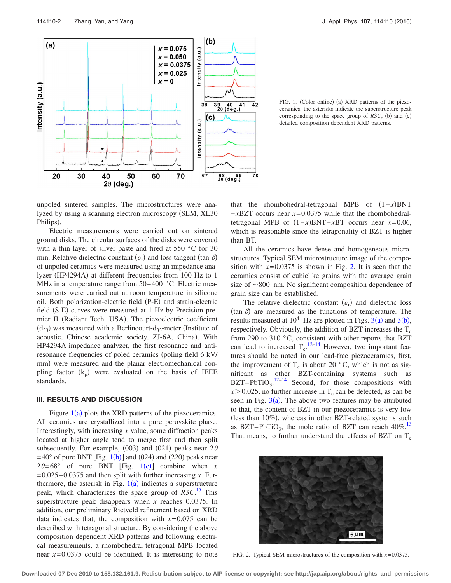<span id="page-1-0"></span>

FIG. 1. (Color online) (a) XRD patterns of the piezoceramics, the asterisks indicate the superstructure peak corresponding to the space group of  $R3C$ , (b) and (c) detailed composition dependent XRD patterns.

unpoled sintered samples. The microstructures were analyzed by using a scanning electron microscopy (SEM, XL30 Philips).

Electric measurements were carried out on sintered ground disks. The circular surfaces of the disks were covered with a thin layer of silver paste and fired at 550 °C for 30 min. Relative dielectric constant  $(\varepsilon_r)$  and loss tangent (tan  $\delta$ ) of unpoled ceramics were measured using an impedance analyzer (HP4294A) at different frequencies from 100 Hz to 1 MHz in a temperature range from 50–400 °C. Electric measurements were carried out at room temperature in silicone oil. Both polarization-electric field (P-E) and strain-electric field (S-E) curves were measured at 1 Hz by Precision premier II (Radiant Tech. USA). The piezoelectric coefficient  $(d_{33})$  was measured with a Berlincourt-d<sub>33</sub>-meter (Institute of acoustic, Chinese academic society, ZJ-6A, China). With HP4294A impedance analyzer, the first resonance and antiresonance frequencies of poled ceramics (poling field 6 kV/ mm) were measured and the planar electromechanical coupling factor  $(k_p)$  were evaluated on the basis of IEEE standards.

#### **III. RESULTS AND DISCUSSION**

Figure  $1(a)$  $1(a)$  plots the XRD patterns of the piezoceramics. All ceramics are crystallized into a pure perovskite phase. Interestingly, with increasing *x* value, some diffraction peaks located at higher angle tend to merge first and then split subsequently. For example, (003) and (021) peaks near  $2\theta$  $=40^{\circ}$  of pure BNT [Fig. [1](#page-1-0)(b)] and (024) and (220) peaks near  $2\theta = 68^\circ$  of pure BNT [Fig. [1](#page-1-0)(c)] combine when *x*  $=0.025-0.0375$  and then split with further increasing *x*. Furthermore, the asterisk in Fig.  $1(a)$  $1(a)$  indicates a superstructure peak, which characterizes the space group of *R*3*C*. [15](#page-3-8) This superstructure peak disappears when *x* reaches 0.0375. In addition, our preliminary Rietveld refinement based on XRD data indicates that, the composition with  $x=0.075$  can be described with tetragonal structure. By considering the above composition dependent XRD patterns and following electrical measurements, a rhombohedral-tetragonal MPB located near *x*=0.0375 could be identified. It is interesting to note

that the rhombohedral-tetragonal MPB of 1−*x*-BNT −*x*BZT occurs near *x*=0.0375 while that the rhombohedraltetragonal MPB of  $(1-x)BNT-xBT$  occurs near  $x=0.06$ , which is reasonable since the tetragonality of BZT is higher than BT.

All the ceramics have dense and homogeneous microstructures. Typical SEM microstructure image of the composition with  $x=0.0375$  is shown in Fig. [2.](#page-1-1) It is seen that the ceramics consist of cubiclike grains with the average grain size of  $\sim$ 800 nm. No significant composition dependence of grain size can be established.

The relative dielectric constant  $(\varepsilon_r)$  and dielectric loss  $(\tan \delta)$  are measured as the functions of temperature. The results measured at  $10^4$  Hz are plotted in Figs.  $3(a)$  $3(a)$  and  $3(b)$ , respectively. Obviously, the addition of BZT increases the  $T_c$ from 290 to 310 °C, consistent with other reports that BZT can lead to increased  $T_c$ .<sup>[12](#page-3-9)[–14](#page-3-7)</sup> However, two important features should be noted in our lead-free piezoceramics, first, the improvement of T<sub>c</sub> is about 20  $\degree$ C, which is not as significant as other BZT-containing systems such as  $BZT-PbTiO<sub>3</sub>.<sup>12-14</sup>$  $BZT-PbTiO<sub>3</sub>.<sup>12-14</sup>$  $BZT-PbTiO<sub>3</sub>.<sup>12-14</sup>$  Second, for those compositions with  $x > 0.025$ , no further increase in T<sub>c</sub> can be detected, as can be seen in Fig.  $3(a)$  $3(a)$ . The above two features may be attributed to that, the content of BZT in our piezoceramics is very low (less than 10%), whereas in other BZT-related systems such as BZT–PbTiO<sub>3</sub>, the mole ratio of BZT can reach  $40\%$ <sup>13</sup> That means, to further understand the effects of BZT on  $T_c$ 

<span id="page-1-1"></span>

FIG. 2. Typical SEM microstructures of the composition with *x*=0.0375.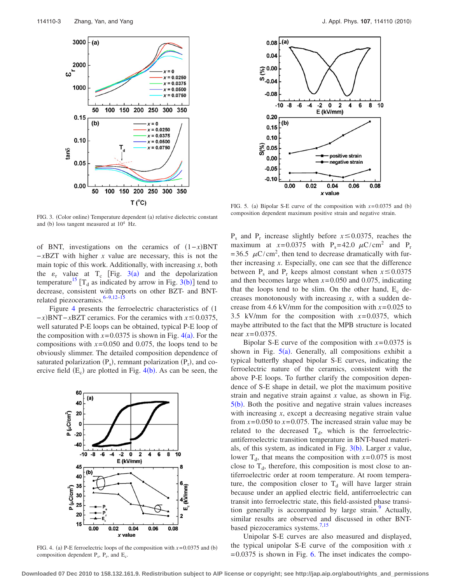<span id="page-2-0"></span>

<span id="page-2-2"></span>

FIG. 5. (a) Bipolar S-E curve of the composition with  $x=0.0375$  and (b) composition dependent maximum positive strain and negative strain.

FIG. 3. (Color online) Temperature dependent (a) relative dielectric constant and (b) loss tangent measured at  $10^4$  Hz.

of BNT, investigations on the ceramics of  $(1-x)$ BNT −*x*BZT with higher *x* value are necessary, this is not the main topic of this work. Additionally, with increasing *x*, both the  $\varepsilon_r$  value at T<sub>c</sub> [Fig. [3](#page-2-0)(a) and the depolarization temperature<sup>15</sup> [T<su[b](#page-2-0)>d</sub> as indicated by arrow in Fig. 3(b)] tend to decrease, consistent with reports on other BZT- and BNT-related piezoceramics.<sup>6[–9,](#page-3-2)[12–](#page-3-9)[15](#page-3-8)</sup>

Figure [4](#page-2-1) presents the ferroelectric characteristics of  $(1)$ −*x*)BNT−*x*BZT ceramics. For the ceramics with *x* ≤ 0.0375, well saturated P-E loops can be obtained, typical P-E loop of the composition with  $x=0.0375$  is shown in Fig.  $4(a)$  $4(a)$ . For the compositions with  $x=0.050$  and 0.075, the loops tend to be obviously slimmer. The detailed composition dependence of saturated polarization  $(P_s)$ , remnant polarization  $(P_r)$ , and coercive field  $(E_c)$  are plotted in Fig. [4](#page-2-1)(b). As can be seen, the

<span id="page-2-1"></span>

FIG. 4. (a) P-E ferroelectric loops of the composition with  $x=0.0375$  and (b) composition dependent  $P_s$ ,  $P_r$ , and  $E_c$ .

 $P_s$  and  $P_r$  increase slightly before  $x \le 0.0375$ , reaches the maximum at  $x=0.0375$  with P<sub>s</sub>=42.0  $\mu$ C/cm<sup>2</sup> and P<sub>r</sub> =36.5  $\mu$ C/cm<sup>2</sup>, then tend to decrease dramatically with further increasing *x*. Especially, one can see that the difference between  $P_s$  and  $P_r$  keeps almost constant when  $x \le 0.0375$ and then becomes large when *x*=0.050 and 0.075, indicating that the loops tend to be slim. On the other hand,  $E_c$  decreases monotonously with increasing *x*, with a sudden decrease from 4.6 kV/mm for the composition with  $x=0.025$  to 3.5 kV/mm for the composition with *x*=0.0375, which maybe attributed to the fact that the MPB structure is located near *x*=0.0375.

Bipolar S-E curve of the composition with  $x=0.0375$  is shown in Fig.  $5(a)$  $5(a)$ . Generally, all compositions exhibit a typical butterfly shaped bipolar S-E curves, indicating the ferroelectric nature of the ceramics, consistent with the above P-E loops. To further clarify the composition dependence of S-E shape in detail, we plot the maximum positive strain and negative strain against *x* value, as shown in Fig.  $5(b)$  $5(b)$ . Both the positive and negative strain values increases with increasing *x*, except a decreasing negative strain value from  $x=0.050$  to  $x=0.075$ . The increased strain value may be related to the decreased  $T<sub>d</sub>$ , which is the ferroelectricantiferroelectric transition temperature in BNT-based materials, of this system, as indicated in Fig.  $3(b)$  $3(b)$ . Larger *x* value, lower  $T_d$ , that means the composition with  $x=0.075$  is most close to  $T_d$ , therefore, this composition is most close to antiferroelectric order at room temperature. At room temperature, the composition closer to  $T<sub>d</sub>$  will have larger strain because under an applied electric field, antiferroelectric can transit into ferroelectric state, this field-assisted phase transition generally is accompanied by large strain.<sup>9</sup> Actually, similar results are observed and discussed in other BNT-based piezoceramics systems.<sup>7[,15](#page-3-8)</sup>

Unipolar S-E curves are also measured and displayed, the typical unipolar S-E curve of the composition with *x*  $=0.0375$  is shown in Fig. [6.](#page-3-12) The inset indicates the compo-

**Downloaded 07 Dec 2010 to 158.132.161.9. Redistribution subject to AIP license or copyright; see http://jap.aip.org/about/rights\_and\_permissions**